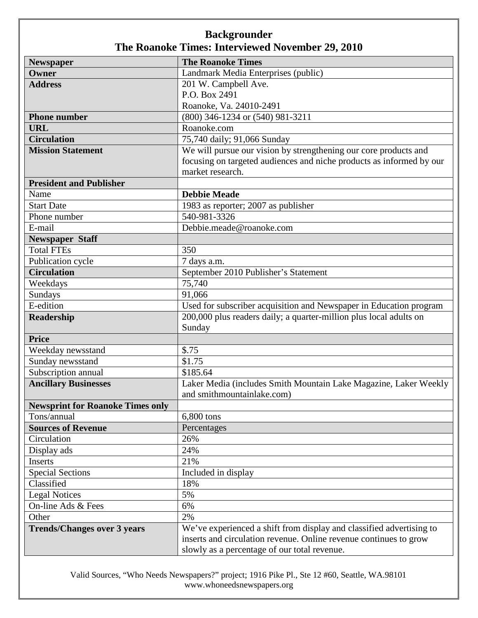| <b>Newspaper</b>                        | <b>The Roanoke Times</b>                                             |
|-----------------------------------------|----------------------------------------------------------------------|
| Owner                                   | Landmark Media Enterprises (public)                                  |
| <b>Address</b>                          | 201 W. Campbell Ave.                                                 |
|                                         | P.O. Box 2491                                                        |
|                                         | Roanoke, Va. 24010-2491                                              |
| <b>Phone number</b>                     | (800) 346-1234 or (540) 981-3211                                     |
| <b>URL</b>                              | Roanoke.com                                                          |
| <b>Circulation</b>                      | 75,740 daily; 91,066 Sunday                                          |
| <b>Mission Statement</b>                | We will pursue our vision by strengthening our core products and     |
|                                         | focusing on targeted audiences and niche products as informed by our |
|                                         | market research.                                                     |
| <b>President and Publisher</b>          |                                                                      |
| Name                                    | <b>Debbie Meade</b>                                                  |
| <b>Start Date</b>                       | 1983 as reporter; 2007 as publisher                                  |
| Phone number                            | 540-981-3326                                                         |
| E-mail                                  | Debbie.meade@roanoke.com                                             |
| <b>Newspaper Staff</b>                  |                                                                      |
| <b>Total FTEs</b>                       | 350                                                                  |
| Publication cycle                       | 7 days a.m.                                                          |
| <b>Circulation</b>                      | September 2010 Publisher's Statement                                 |
| Weekdays                                | 75,740                                                               |
| Sundays                                 | 91,066                                                               |
| E-edition                               | Used for subscriber acquisition and Newspaper in Education program   |
| Readership                              | 200,000 plus readers daily; a quarter-million plus local adults on   |
|                                         | Sunday                                                               |
| <b>Price</b>                            |                                                                      |
| Weekday newsstand                       | \$.75                                                                |
| Sunday newsstand                        | \$1.75                                                               |
| Subscription annual                     | \$185.64                                                             |
| <b>Ancillary Businesses</b>             | Laker Media (includes Smith Mountain Lake Magazine, Laker Weekly     |
|                                         | and smithmountainlake.com)                                           |
| <b>Newsprint for Roanoke Times only</b> |                                                                      |
| Tons/annual                             | 6,800 tons                                                           |
| <b>Sources of Revenue</b>               | Percentages                                                          |
| Circulation                             | 26%                                                                  |
| Display ads                             | 24%                                                                  |
| Inserts                                 | 21%                                                                  |
| <b>Special Sections</b>                 | Included in display                                                  |
| Classified                              | 18%                                                                  |
| <b>Legal Notices</b>                    | 5%                                                                   |
| On-line Ads & Fees                      | 6%                                                                   |
| Other                                   | 2%                                                                   |
| <b>Trends/Changes over 3 years</b>      | We've experienced a shift from display and classified advertising to |
|                                         | inserts and circulation revenue. Online revenue continues to grow    |
|                                         | slowly as a percentage of our total revenue.                         |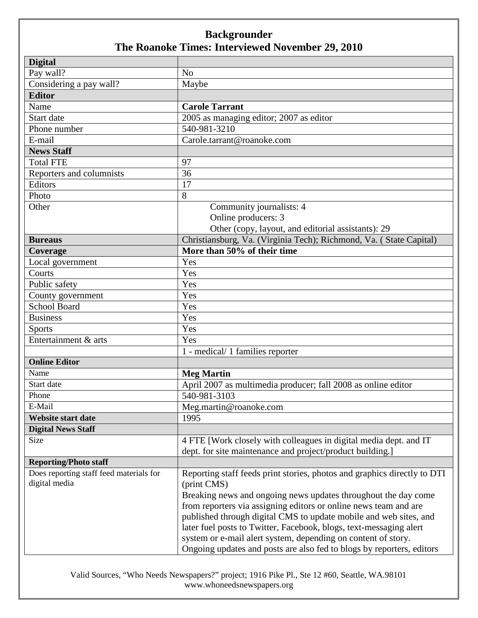| <b>Digital</b>                          |                                                                          |
|-----------------------------------------|--------------------------------------------------------------------------|
| Pay wall?                               | N <sub>o</sub>                                                           |
| Considering a pay wall?                 | Maybe                                                                    |
| <b>Editor</b>                           |                                                                          |
| Name                                    | <b>Carole Tarrant</b>                                                    |
| Start date                              | 2005 as managing editor; 2007 as editor                                  |
| Phone number                            | 540-981-3210                                                             |
| E-mail                                  | Carole.tarrant@roanoke.com                                               |
| <b>News Staff</b>                       |                                                                          |
| <b>Total FTE</b>                        | 97                                                                       |
| Reporters and columnists                | 36                                                                       |
| Editors                                 | 17                                                                       |
| Photo                                   | 8                                                                        |
| Other                                   | Community journalists: 4                                                 |
|                                         | Online producers: 3                                                      |
|                                         | Other (copy, layout, and editorial assistants): 29                       |
| <b>Bureaus</b>                          | Christiansburg, Va. (Virginia Tech); Richmond, Va. (State Capital)       |
| Coverage                                | More than 50% of their time                                              |
| Local government                        | Yes                                                                      |
| Courts                                  | Yes                                                                      |
| Public safety                           | Yes                                                                      |
| County government                       | Yes                                                                      |
| <b>School Board</b>                     | Yes                                                                      |
| <b>Business</b>                         | Yes                                                                      |
| <b>Sports</b>                           | Yes                                                                      |
| Entertainment & arts                    | Yes                                                                      |
|                                         | 1 - medical/ 1 families reporter                                         |
| <b>Online Editor</b>                    |                                                                          |
| Name                                    | <b>Meg Martin</b>                                                        |
| Start date                              | April 2007 as multimedia producer; fall 2008 as online editor            |
| Phone                                   | 540-981-3103                                                             |
| E-Mail                                  | Meg.martin@roanoke.com                                                   |
| <b>Website start date</b>               | 1995                                                                     |
| <b>Digital News Staff</b>               |                                                                          |
| Size                                    | 4 FTE [Work closely with colleagues in digital media dept. and IT        |
|                                         | dept. for site maintenance and project/product building.]                |
| <b>Reporting/Photo staff</b>            |                                                                          |
| Does reporting staff feed materials for | Reporting staff feeds print stories, photos and graphics directly to DTI |
| digital media                           | (print CMS)                                                              |
|                                         | Breaking news and ongoing news updates throughout the day come           |
|                                         | from reporters via assigning editors or online news team and are         |
|                                         | published through digital CMS to update mobile and web sites, and        |
|                                         | later fuel posts to Twitter, Facebook, blogs, text-messaging alert       |
|                                         | system or e-mail alert system, depending on content of story.            |
|                                         | Ongoing updates and posts are also fed to blogs by reporters, editors    |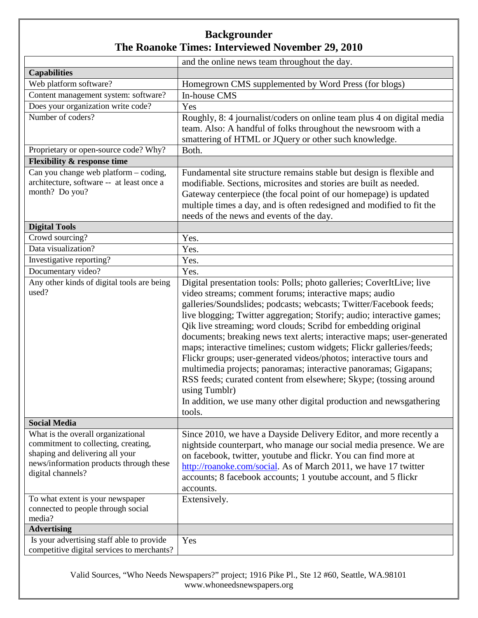|                                                                                                                                                                              | and the online news team throughout the day.                                                                                                                                                                                                                                                                                                                                                                                                                                                                                                                                                                                                                                                                                                                                                                         |
|------------------------------------------------------------------------------------------------------------------------------------------------------------------------------|----------------------------------------------------------------------------------------------------------------------------------------------------------------------------------------------------------------------------------------------------------------------------------------------------------------------------------------------------------------------------------------------------------------------------------------------------------------------------------------------------------------------------------------------------------------------------------------------------------------------------------------------------------------------------------------------------------------------------------------------------------------------------------------------------------------------|
| <b>Capabilities</b>                                                                                                                                                          |                                                                                                                                                                                                                                                                                                                                                                                                                                                                                                                                                                                                                                                                                                                                                                                                                      |
| Web platform software?                                                                                                                                                       | Homegrown CMS supplemented by Word Press (for blogs)                                                                                                                                                                                                                                                                                                                                                                                                                                                                                                                                                                                                                                                                                                                                                                 |
| Content management system: software?                                                                                                                                         | In-house CMS                                                                                                                                                                                                                                                                                                                                                                                                                                                                                                                                                                                                                                                                                                                                                                                                         |
| Does your organization write code?                                                                                                                                           | Yes                                                                                                                                                                                                                                                                                                                                                                                                                                                                                                                                                                                                                                                                                                                                                                                                                  |
| Number of coders?                                                                                                                                                            | Roughly, 8: 4 journalist/coders on online team plus 4 on digital media<br>team. Also: A handful of folks throughout the newsroom with a<br>smattering of HTML or JQuery or other such knowledge.                                                                                                                                                                                                                                                                                                                                                                                                                                                                                                                                                                                                                     |
| Proprietary or open-source code? Why?                                                                                                                                        | Both.                                                                                                                                                                                                                                                                                                                                                                                                                                                                                                                                                                                                                                                                                                                                                                                                                |
| <b>Flexibility &amp; response time</b>                                                                                                                                       |                                                                                                                                                                                                                                                                                                                                                                                                                                                                                                                                                                                                                                                                                                                                                                                                                      |
| Can you change web platform – coding,<br>architecture, software -- at least once a<br>month? Do you?                                                                         | Fundamental site structure remains stable but design is flexible and<br>modifiable. Sections, microsites and stories are built as needed.<br>Gateway centerpiece (the focal point of our homepage) is updated<br>multiple times a day, and is often redesigned and modified to fit the<br>needs of the news and events of the day.                                                                                                                                                                                                                                                                                                                                                                                                                                                                                   |
| <b>Digital Tools</b>                                                                                                                                                         |                                                                                                                                                                                                                                                                                                                                                                                                                                                                                                                                                                                                                                                                                                                                                                                                                      |
| Crowd sourcing?                                                                                                                                                              | Yes.                                                                                                                                                                                                                                                                                                                                                                                                                                                                                                                                                                                                                                                                                                                                                                                                                 |
| Data visualization?                                                                                                                                                          | Yes.                                                                                                                                                                                                                                                                                                                                                                                                                                                                                                                                                                                                                                                                                                                                                                                                                 |
| Investigative reporting?                                                                                                                                                     | Yes.                                                                                                                                                                                                                                                                                                                                                                                                                                                                                                                                                                                                                                                                                                                                                                                                                 |
| Documentary video?                                                                                                                                                           | Yes.                                                                                                                                                                                                                                                                                                                                                                                                                                                                                                                                                                                                                                                                                                                                                                                                                 |
| Any other kinds of digital tools are being<br>used?                                                                                                                          | Digital presentation tools: Polls; photo galleries; CoverItLive; live<br>video streams; comment forums; interactive maps; audio<br>galleries/Soundslides; podcasts; webcasts; Twitter/Facebook feeds;<br>live blogging; Twitter aggregation; Storify; audio; interactive games;<br>Qik live streaming; word clouds; Scribd for embedding original<br>documents; breaking news text alerts; interactive maps; user-generated<br>maps; interactive timelines; custom widgets; Flickr galleries/feeds;<br>Flickr groups; user-generated videos/photos; interactive tours and<br>multimedia projects; panoramas; interactive panoramas; Gigapans;<br>RSS feeds; curated content from elsewhere; Skype; (tossing around<br>using Tumblr)<br>In addition, we use many other digital production and newsgathering<br>tools. |
| <b>Social Media</b>                                                                                                                                                          |                                                                                                                                                                                                                                                                                                                                                                                                                                                                                                                                                                                                                                                                                                                                                                                                                      |
| What is the overall organizational<br>commitment to collecting, creating,<br>shaping and delivering all your<br>news/information products through these<br>digital channels? | Since 2010, we have a Dayside Delivery Editor, and more recently a<br>nightside counterpart, who manage our social media presence. We are<br>on facebook, twitter, youtube and flickr. You can find more at<br>http://roanoke.com/social. As of March 2011, we have 17 twitter<br>accounts; 8 facebook accounts; 1 youtube account, and 5 flickr<br>accounts.                                                                                                                                                                                                                                                                                                                                                                                                                                                        |
| To what extent is your newspaper<br>connected to people through social<br>media?                                                                                             | Extensively.                                                                                                                                                                                                                                                                                                                                                                                                                                                                                                                                                                                                                                                                                                                                                                                                         |
| <b>Advertising</b>                                                                                                                                                           |                                                                                                                                                                                                                                                                                                                                                                                                                                                                                                                                                                                                                                                                                                                                                                                                                      |
| Is your advertising staff able to provide<br>competitive digital services to merchants?                                                                                      | Yes                                                                                                                                                                                                                                                                                                                                                                                                                                                                                                                                                                                                                                                                                                                                                                                                                  |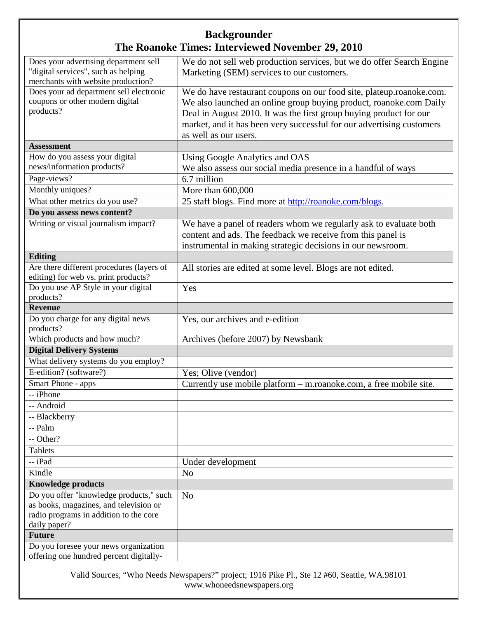| Does your advertising department sell<br>"digital services", such as helping     | We do not sell web production services, but we do offer Search Engine<br>Marketing (SEM) services to our customers. |
|----------------------------------------------------------------------------------|---------------------------------------------------------------------------------------------------------------------|
| merchants with website production?                                               |                                                                                                                     |
| Does your ad department sell electronic                                          | We do have restaurant coupons on our food site, plateup.roanoke.com.                                                |
| coupons or other modern digital                                                  | We also launched an online group buying product, roanoke.com Daily                                                  |
| products?                                                                        | Deal in August 2010. It was the first group buying product for our                                                  |
|                                                                                  | market, and it has been very successful for our advertising customers                                               |
|                                                                                  | as well as our users.                                                                                               |
| <b>Assessment</b>                                                                |                                                                                                                     |
| How do you assess your digital                                                   | Using Google Analytics and OAS                                                                                      |
| news/information products?                                                       | We also assess our social media presence in a handful of ways                                                       |
| Page-views?                                                                      | 6.7 million                                                                                                         |
| Monthly uniques?                                                                 | More than 600,000                                                                                                   |
| What other metrics do you use?                                                   | 25 staff blogs. Find more at http://roanoke.com/blogs.                                                              |
| Do you assess news content?                                                      |                                                                                                                     |
| Writing or visual journalism impact?                                             | We have a panel of readers whom we regularly ask to evaluate both                                                   |
|                                                                                  | content and ads. The feedback we receive from this panel is                                                         |
|                                                                                  | instrumental in making strategic decisions in our newsroom.                                                         |
| <b>Editing</b>                                                                   |                                                                                                                     |
| Are there different procedures (layers of                                        | All stories are edited at some level. Blogs are not edited.                                                         |
| editing) for web vs. print products?                                             |                                                                                                                     |
| Do you use AP Style in your digital                                              | Yes                                                                                                                 |
| products?                                                                        |                                                                                                                     |
| <b>Revenue</b>                                                                   |                                                                                                                     |
| Do you charge for any digital news<br>products?                                  | Yes, our archives and e-edition                                                                                     |
| Which products and how much?                                                     | Archives (before 2007) by Newsbank                                                                                  |
| <b>Digital Delivery Systems</b>                                                  |                                                                                                                     |
| What delivery systems do you employ?                                             |                                                                                                                     |
| E-edition? (software?)                                                           | Yes; Olive (vendor)                                                                                                 |
| Smart Phone - apps                                                               | Currently use mobile platform - m.roanoke.com, a free mobile site.                                                  |
| -- iPhone                                                                        |                                                                                                                     |
| -- Android                                                                       |                                                                                                                     |
| -- Blackberry                                                                    |                                                                                                                     |
| -- Palm                                                                          |                                                                                                                     |
| -- Other?                                                                        |                                                                                                                     |
| <b>Tablets</b>                                                                   |                                                                                                                     |
| -- iPad                                                                          | Under development                                                                                                   |
| Kindle                                                                           | N <sub>o</sub>                                                                                                      |
| <b>Knowledge products</b>                                                        |                                                                                                                     |
| Do you offer "knowledge products," such                                          | N <sub>o</sub>                                                                                                      |
| as books, magazines, and television or                                           |                                                                                                                     |
| radio programs in addition to the core                                           |                                                                                                                     |
| daily paper?                                                                     |                                                                                                                     |
| <b>Future</b>                                                                    |                                                                                                                     |
| Do you foresee your news organization<br>offering one hundred percent digitally- |                                                                                                                     |
|                                                                                  |                                                                                                                     |